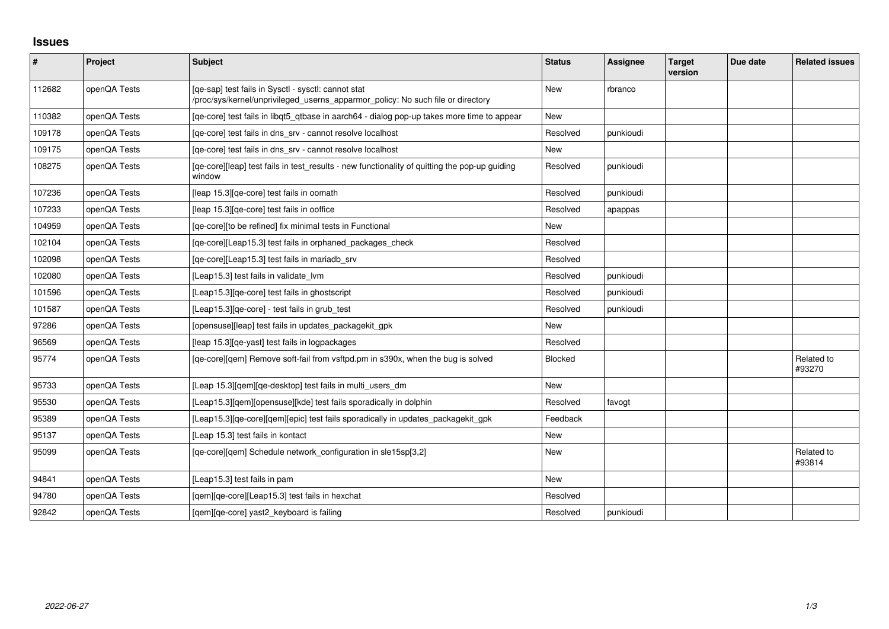## **Issues**

| $\vert$ # | Project      | <b>Subject</b>                                                                                                                         | <b>Status</b> | <b>Assignee</b> | <b>Target</b><br>version | Due date | <b>Related issues</b> |
|-----------|--------------|----------------------------------------------------------------------------------------------------------------------------------------|---------------|-----------------|--------------------------|----------|-----------------------|
| 112682    | openQA Tests | [qe-sap] test fails in Sysctl - sysctl: cannot stat<br>/proc/sys/kernel/unprivileged_userns_apparmor_policy: No such file or directory | New           | rbranco         |                          |          |                       |
| 110382    | openQA Tests | [qe-core] test fails in libqt5_qtbase in aarch64 - dialog pop-up takes more time to appear                                             | New           |                 |                          |          |                       |
| 109178    | openQA Tests | [qe-core] test fails in dns_srv - cannot resolve localhost                                                                             | Resolved      | punkioudi       |                          |          |                       |
| 109175    | openQA Tests | [qe-core] test fails in dns_srv - cannot resolve localhost                                                                             | <b>New</b>    |                 |                          |          |                       |
| 108275    | openQA Tests | [qe-core][leap] test fails in test_results - new functionality of quitting the pop-up guiding<br>window                                | Resolved      | punkioudi       |                          |          |                       |
| 107236    | openQA Tests | [leap 15.3] [qe-core] test fails in oomath                                                                                             | Resolved      | punkioudi       |                          |          |                       |
| 107233    | openQA Tests | [leap 15.3] [qe-core] test fails in ooffice                                                                                            | Resolved      | apappas         |                          |          |                       |
| 104959    | openQA Tests | [qe-core][to be refined] fix minimal tests in Functional                                                                               | New           |                 |                          |          |                       |
| 102104    | openQA Tests | [qe-core][Leap15.3] test fails in orphaned_packages_check                                                                              | Resolved      |                 |                          |          |                       |
| 102098    | openQA Tests | [qe-core][Leap15.3] test fails in mariadb_srv                                                                                          | Resolved      |                 |                          |          |                       |
| 102080    | openQA Tests | [Leap15.3] test fails in validate lvm                                                                                                  | Resolved      | punkioudi       |                          |          |                       |
| 101596    | openQA Tests | [Leap15.3] [qe-core] test fails in ghostscript                                                                                         | Resolved      | punkioudi       |                          |          |                       |
| 101587    | openQA Tests | [Leap15.3] [ge-core] - test fails in grub test                                                                                         | Resolved      | punkioudi       |                          |          |                       |
| 97286     | openQA Tests | [opensuse][leap] test fails in updates_packagekit_gpk                                                                                  | New           |                 |                          |          |                       |
| 96569     | openQA Tests | [leap 15.3][qe-yast] test fails in logpackages                                                                                         | Resolved      |                 |                          |          |                       |
| 95774     | openQA Tests | [qe-core][qem] Remove soft-fail from vsftpd.pm in s390x, when the bug is solved                                                        | Blocked       |                 |                          |          | Related to<br>#93270  |
| 95733     | openQA Tests | [Leap 15.3][qem][qe-desktop] test fails in multi_users_dm                                                                              | <b>New</b>    |                 |                          |          |                       |
| 95530     | openQA Tests | [Leap15.3][qem][opensuse][kde] test fails sporadically in dolphin                                                                      | Resolved      | favogt          |                          |          |                       |
| 95389     | openQA Tests | [Leap15.3][qe-core][qem][epic] test fails sporadically in updates_packagekit_gpk                                                       | Feedback      |                 |                          |          |                       |
| 95137     | openQA Tests | [Leap 15.3] test fails in kontact                                                                                                      | New           |                 |                          |          |                       |
| 95099     | openQA Tests | [ge-core][gem] Schedule network configuration in sle15sp[3,2]                                                                          | New           |                 |                          |          | Related to<br>#93814  |
| 94841     | openQA Tests | [Leap15.3] test fails in pam                                                                                                           | <b>New</b>    |                 |                          |          |                       |
| 94780     | openQA Tests | [gem][ge-core][Leap15.3] test fails in hexchat                                                                                         | Resolved      |                 |                          |          |                       |
| 92842     | openQA Tests | [qem][qe-core] yast2_keyboard is failing                                                                                               | Resolved      | punkioudi       |                          |          |                       |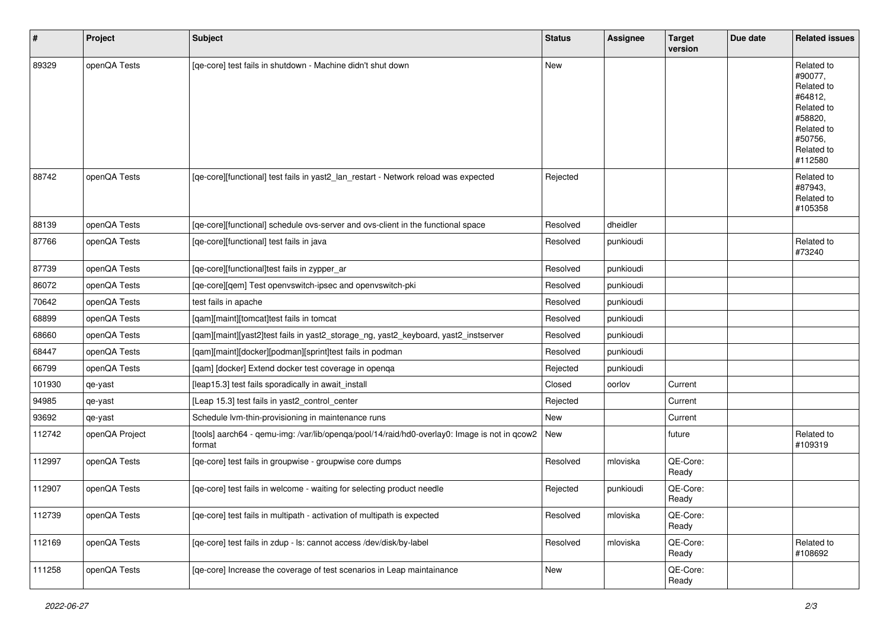| $\vert$ # | Project        | Subject                                                                                                | <b>Status</b> | Assignee  | <b>Target</b><br>version | Due date | <b>Related issues</b>                                                                                                     |
|-----------|----------------|--------------------------------------------------------------------------------------------------------|---------------|-----------|--------------------------|----------|---------------------------------------------------------------------------------------------------------------------------|
| 89329     | openQA Tests   | [qe-core] test fails in shutdown - Machine didn't shut down                                            | <b>New</b>    |           |                          |          | Related to<br>#90077,<br>Related to<br>#64812,<br>Related to<br>#58820,<br>Related to<br>#50756,<br>Related to<br>#112580 |
| 88742     | openQA Tests   | [qe-core][functional] test fails in yast2_lan_restart - Network reload was expected                    | Rejected      |           |                          |          | Related to<br>#87943,<br>Related to<br>#105358                                                                            |
| 88139     | openQA Tests   | [qe-core][functional] schedule ovs-server and ovs-client in the functional space                       | Resolved      | dheidler  |                          |          |                                                                                                                           |
| 87766     | openQA Tests   | [qe-core][functional] test fails in java                                                               | Resolved      | punkioudi |                          |          | Related to<br>#73240                                                                                                      |
| 87739     | openQA Tests   | [qe-core][functional]test fails in zypper_ar                                                           | Resolved      | punkioudi |                          |          |                                                                                                                           |
| 86072     | openQA Tests   | [qe-core][qem] Test openvswitch-ipsec and openvswitch-pki                                              | Resolved      | punkioudi |                          |          |                                                                                                                           |
| 70642     | openQA Tests   | test fails in apache                                                                                   | Resolved      | punkioudi |                          |          |                                                                                                                           |
| 68899     | openQA Tests   | [qam][maint][tomcat]test fails in tomcat                                                               | Resolved      | punkioudi |                          |          |                                                                                                                           |
| 68660     | openQA Tests   | [qam][maint][yast2]test fails in yast2_storage_ng, yast2_keyboard, yast2_instserver                    | Resolved      | punkioudi |                          |          |                                                                                                                           |
| 68447     | openQA Tests   | [qam][maint][docker][podman][sprint]test fails in podman                                               | Resolved      | punkioudi |                          |          |                                                                                                                           |
| 66799     | openQA Tests   | [gam] [docker] Extend docker test coverage in openga                                                   | Rejected      | punkioudi |                          |          |                                                                                                                           |
| 101930    | qe-yast        | [leap15.3] test fails sporadically in await_install                                                    | Closed        | oorlov    | Current                  |          |                                                                                                                           |
| 94985     | qe-yast        | [Leap 15.3] test fails in yast2_control_center                                                         | Rejected      |           | Current                  |          |                                                                                                                           |
| 93692     | qe-yast        | Schedule lvm-thin-provisioning in maintenance runs                                                     | New           |           | Current                  |          |                                                                                                                           |
| 112742    | openQA Project | [tools] aarch64 - qemu-img: /var/lib/openqa/pool/14/raid/hd0-overlay0: Image is not in qcow2<br>format | New           |           | future                   |          | Related to<br>#109319                                                                                                     |
| 112997    | openQA Tests   | [qe-core] test fails in groupwise - groupwise core dumps                                               | Resolved      | mloviska  | QE-Core:<br>Ready        |          |                                                                                                                           |
| 112907    | openQA Tests   | [qe-core] test fails in welcome - waiting for selecting product needle                                 | Rejected      | punkioudi | QE-Core:<br>Ready        |          |                                                                                                                           |
| 112739    | openQA Tests   | [qe-core] test fails in multipath - activation of multipath is expected                                | Resolved      | mloviska  | QE-Core:<br>Ready        |          |                                                                                                                           |
| 112169    | openQA Tests   | [ge-core] test fails in zdup - ls: cannot access /dev/disk/by-label                                    | Resolved      | mloviska  | QE-Core:<br>Ready        |          | Related to<br>#108692                                                                                                     |
| 111258    | openQA Tests   | [ge-core] Increase the coverage of test scenarios in Leap maintainance                                 | New           |           | QE-Core:<br>Ready        |          |                                                                                                                           |